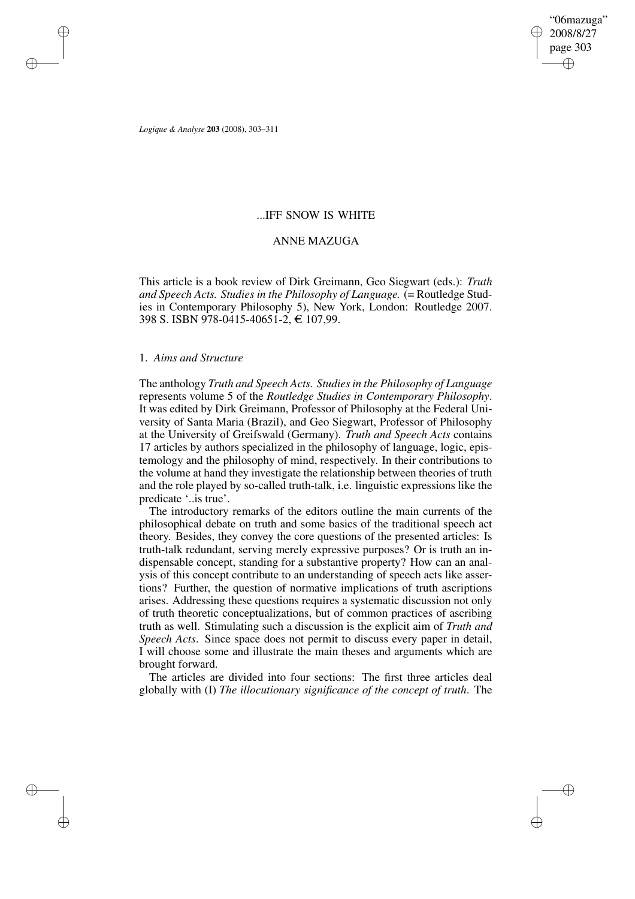"06mazuga" 2008/8/27 page 303 ✐ ✐

✐

✐

*Logique & Analyse* **203** (2008), 303–311

✐

✐

✐

✐

## ...IFF SNOW IS WHITE

# ANNE MAZUGA

This article is a book review of Dirk Greimann, Geo Siegwart (eds.): *Truth and Speech Acts. Studies in the Philosophy of Language.* (= Routledge Studies in Contemporary Philosophy 5), New York, London: Routledge 2007. 398 S. ISBN 978-0415-40651-2, e 107,99.

# 1. *Aims and Structure*

The anthology *Truth and Speech Acts. Studiesin the Philosophy of Language* represents volume 5 of the *Routledge Studies in Contemporary Philosophy*. It was edited by Dirk Greimann, Professor of Philosophy at the Federal University of Santa Maria (Brazil), and Geo Siegwart, Professor of Philosophy at the University of Greifswald (Germany). *Truth and Speech Acts* contains 17 articles by authors specialized in the philosophy of language, logic, epistemology and the philosophy of mind, respectively. In their contributions to the volume at hand they investigate the relationship between theories of truth and the role played by so-called truth-talk, i.e. linguistic expressions like the predicate '..is true'.

The introductory remarks of the editors outline the main currents of the philosophical debate on truth and some basics of the traditional speech act theory. Besides, they convey the core questions of the presented articles: Is truth-talk redundant, serving merely expressive purposes? Or is truth an indispensable concept, standing for a substantive property? How can an analysis of this concept contribute to an understanding of speech acts like assertions? Further, the question of normative implications of truth ascriptions arises. Addressing these questions requires a systematic discussion not only of truth theoretic conceptualizations, but of common practices of ascribing truth as well. Stimulating such a discussion is the explicit aim of *Truth and Speech Acts*. Since space does not permit to discuss every paper in detail, I will choose some and illustrate the main theses and arguments which are brought forward.

The articles are divided into four sections: The first three articles deal globally with (I) *The illocutionary significance of the concept of truth*. The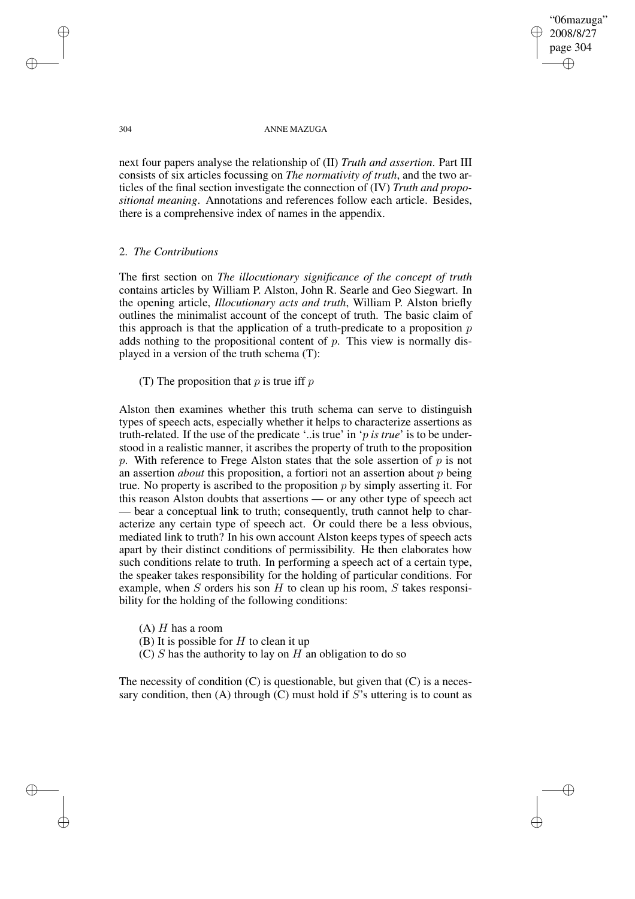"06mazuga" 2008/8/27 page 304 ✐ ✐

✐

✐

### 304 ANNE MAZUGA

next four papers analyse the relationship of (II) *Truth and assertion*. Part III consists of six articles focussing on *The normativity of truth*, and the two articles of the final section investigate the connection of (IV) *Truth and propositional meaning*. Annotations and references follow each article. Besides, there is a comprehensive index of names in the appendix.

## 2. *The Contributions*

The first section on *The illocutionary significance of the concept of truth* contains articles by William P. Alston, John R. Searle and Geo Siegwart. In the opening article, *Illocutionary acts and truth*, William P. Alston briefly outlines the minimalist account of the concept of truth. The basic claim of this approach is that the application of a truth-predicate to a proposition  $p$ adds nothing to the propositional content of  $p$ . This view is normally displayed in a version of the truth schema (T):

(T) The proposition that  $p$  is true iff  $p$ 

Alston then examines whether this truth schema can serve to distinguish types of speech acts, especially whether it helps to characterize assertions as truth-related. If the use of the predicate '..is true' in 'p *is true*' is to be understood in a realistic manner, it ascribes the property of truth to the proposition p. With reference to Frege Alston states that the sole assertion of  $p$  is not an assertion *about* this proposition, a fortiori not an assertion about p being true. No property is ascribed to the proposition  $p$  by simply asserting it. For this reason Alston doubts that assertions — or any other type of speech act bear a conceptual link to truth; consequently, truth cannot help to characterize any certain type of speech act. Or could there be a less obvious, mediated link to truth? In his own account Alston keeps types of speech acts apart by their distinct conditions of permissibility. He then elaborates how such conditions relate to truth. In performing a speech act of a certain type, the speaker takes responsibility for the holding of particular conditions. For example, when  $S$  orders his son  $H$  to clean up his room,  $S$  takes responsibility for the holding of the following conditions:

 $(A)$  H has a room

(B) It is possible for  $H$  to clean it up

(C)  $S$  has the authority to lay on  $H$  an obligation to do so

The necessity of condition  $(C)$  is questionable, but given that  $(C)$  is a necessary condition, then  $(A)$  through  $(C)$  must hold if S's uttering is to count as

✐

✐

✐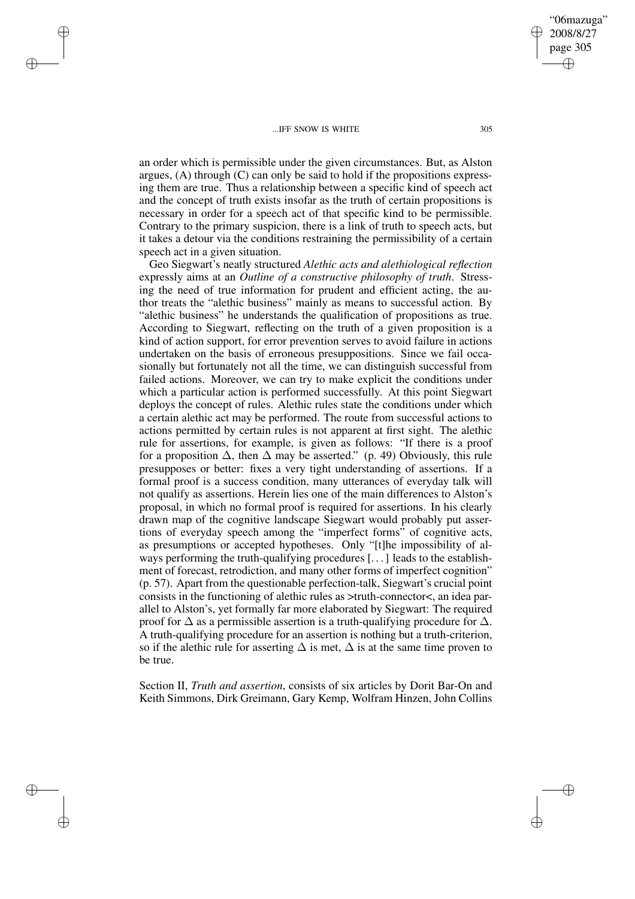✐

✐

✐

✐

an order which is permissible under the given circumstances. But, as Alston argues, (A) through (C) can only be said to hold if the propositions expressing them are true. Thus a relationship between a specific kind of speech act and the concept of truth exists insofar as the truth of certain propositions is necessary in order for a speech act of that specific kind to be permissible. Contrary to the primary suspicion, there is a link of truth to speech acts, but it takes a detour via the conditions restraining the permissibility of a certain speech act in a given situation.

Geo Siegwart's neatly structured *Alethic acts and alethiological reflection* expressly aims at an *Outline of a constructive philosophy of truth*. Stressing the need of true information for prudent and efficient acting, the author treats the "alethic business" mainly as means to successful action. By "alethic business" he understands the qualification of propositions as true. According to Siegwart, reflecting on the truth of a given proposition is a kind of action support, for error prevention serves to avoid failure in actions undertaken on the basis of erroneous presuppositions. Since we fail occasionally but fortunately not all the time, we can distinguish successful from failed actions. Moreover, we can try to make explicit the conditions under which a particular action is performed successfully. At this point Siegwart deploys the concept of rules. Alethic rules state the conditions under which a certain alethic act may be performed. The route from successful actions to actions permitted by certain rules is not apparent at first sight. The alethic rule for assertions, for example, is given as follows: "If there is a proof for a proposition  $\Delta$ , then  $\Delta$  may be asserted." (p. 49) Obviously, this rule presupposes or better: fixes a very tight understanding of assertions. If a formal proof is a success condition, many utterances of everyday talk will not qualify as assertions. Herein lies one of the main differences to Alston's proposal, in which no formal proof is required for assertions. In his clearly drawn map of the cognitive landscape Siegwart would probably put assertions of everyday speech among the "imperfect forms" of cognitive acts, as presumptions or accepted hypotheses. Only "[t]he impossibility of always performing the truth-qualifying procedures [. . .] leads to the establishment of forecast, retrodiction, and many other forms of imperfect cognition" (p. 57). Apart from the questionable perfection-talk, Siegwart's crucial point consists in the functioning of alethic rules as >truth-connector<, an idea parallel to Alston's, yet formally far more elaborated by Siegwart: The required proof for  $\Delta$  as a permissible assertion is a truth-qualifying procedure for  $\Delta$ . A truth-qualifying procedure for an assertion is nothing but a truth-criterion, so if the alethic rule for asserting  $\Delta$  is met,  $\Delta$  is at the same time proven to be true.

Section II, *Truth and assertion*, consists of six articles by Dorit Bar-On and Keith Simmons, Dirk Greimann, Gary Kemp, Wolfram Hinzen, John Collins

"06mazuga" 2008/8/27 page 305

✐

✐

✐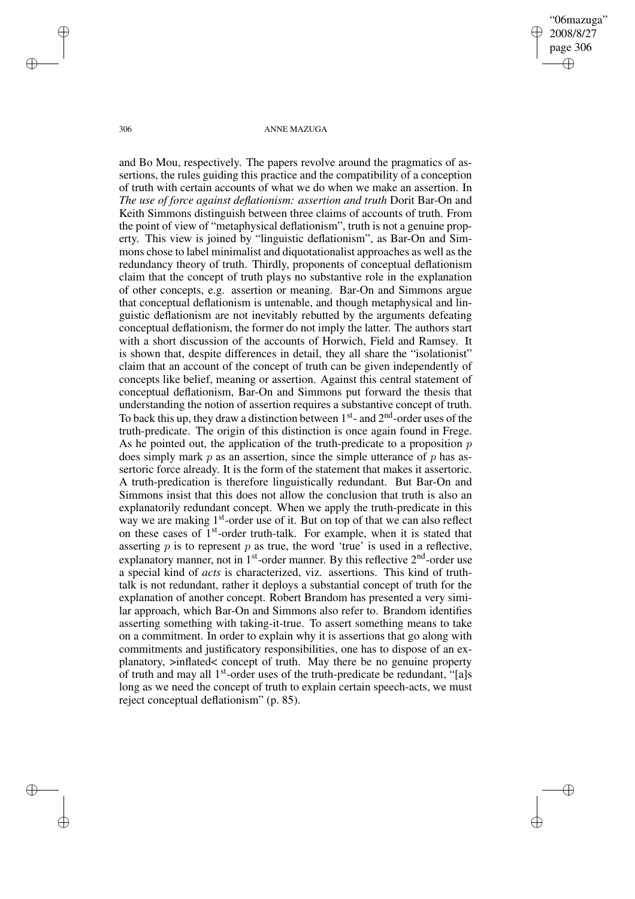"06mazuga" 2008/8/27 page 306 ✐ ✐

✐

✐

### 306 ANNE MAZUGA

and Bo Mou, respectively. The papers revolve around the pragmatics of assertions, the rules guiding this practice and the compatibility of a conception of truth with certain accounts of what we do when we make an assertion. In *The use of force against deflationism: assertion and truth* Dorit Bar-On and Keith Simmons distinguish between three claims of accounts of truth. From the point of view of "metaphysical deflationism", truth is not a genuine property. This view is joined by "linguistic deflationism", as Bar-On and Simmons chose to label minimalist and diquotationalist approaches as well asthe redundancy theory of truth. Thirdly, proponents of conceptual deflationism claim that the concept of truth plays no substantive role in the explanation of other concepts, e.g. assertion or meaning. Bar-On and Simmons argue that conceptual deflationism is untenable, and though metaphysical and linguistic deflationism are not inevitably rebutted by the arguments defeating conceptual deflationism, the former do not imply the latter. The authors start with a short discussion of the accounts of Horwich, Field and Ramsey. It is shown that, despite differences in detail, they all share the "isolationist" claim that an account of the concept of truth can be given independently of concepts like belief, meaning or assertion. Against this central statement of conceptual deflationism, Bar-On and Simmons put forward the thesis that understanding the notion of assertion requires a substantive concept of truth. To back this up, they draw a distinction between  $1<sup>st</sup>$ - and  $2<sup>nd</sup>$ -order uses of the truth-predicate. The origin of this distinction is once again found in Frege. As he pointed out, the application of the truth-predicate to a proposition  $p$ does simply mark  $p$  as an assertion, since the simple utterance of  $p$  has assertoric force already. It is the form of the statement that makes it assertoric. A truth-predication is therefore linguistically redundant. But Bar-On and Simmons insist that this does not allow the conclusion that truth is also an explanatorily redundant concept. When we apply the truth-predicate in this way we are making 1<sup>st</sup>-order use of it. But on top of that we can also reflect on these cases of 1<sup>st</sup>-order truth-talk. For example, when it is stated that asserting  $p$  is to represent  $p$  as true, the word 'true' is used in a reflective, explanatory manner, not in 1<sup>st</sup>-order manner. By this reflective 2<sup>nd</sup>-order use a special kind of *acts* is characterized, viz. assertions. This kind of truthtalk is not redundant, rather it deploys a substantial concept of truth for the explanation of another concept. Robert Brandom has presented a very similar approach, which Bar-On and Simmons also refer to. Brandom identifies asserting something with taking-it-true. To assert something means to take on a commitment. In order to explain why it is assertions that go along with commitments and justificatory responsibilities, one has to dispose of an explanatory, >inflated< concept of truth. May there be no genuine property of truth and may all 1 st-order uses of the truth-predicate be redundant, "[a]s long as we need the concept of truth to explain certain speech-acts, we must reject conceptual deflationism" (p. 85).

✐

✐

✐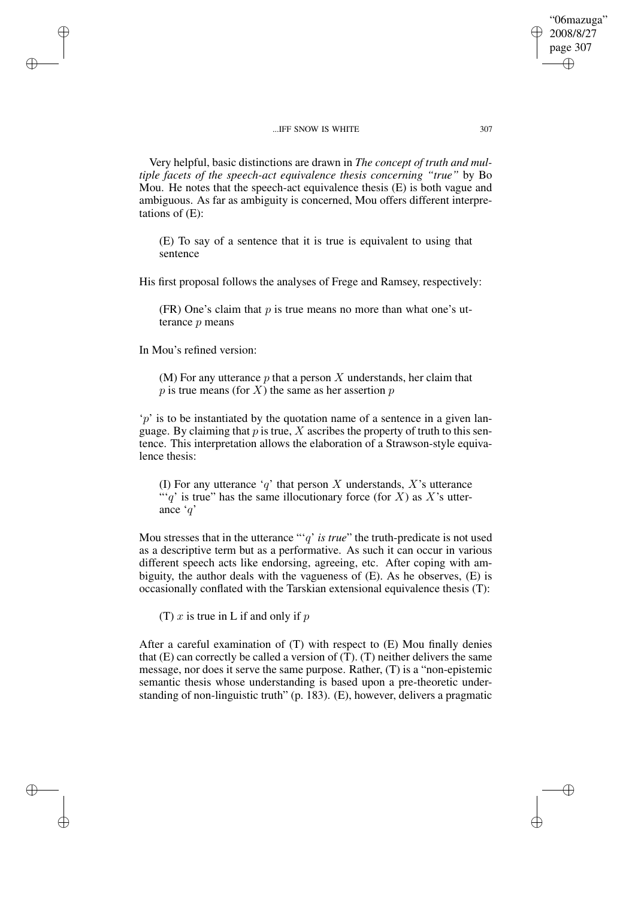Very helpful, basic distinctions are drawn in *The concept of truth and multiple facets of the speech-act equivalence thesis concerning "true"* by Bo Mou. He notes that the speech-act equivalence thesis (E) is both vague and ambiguous. As far as ambiguity is concerned, Mou offers different interpretations of (E):

(E) To say of a sentence that it is true is equivalent to using that sentence

His first proposal follows the analyses of Frege and Ramsey, respectively:

(FR) One's claim that  $p$  is true means no more than what one's utterance p means

In Mou's refined version:

✐

✐

✐

✐

(M) For any utterance p that a person X understands, her claim that  $p$  is true means (for  $X$ ) the same as her assertion  $p$ 

 $\gamma$  is to be instantiated by the quotation name of a sentence in a given language. By claiming that p is true, X ascribes the property of truth to this sentence. This interpretation allows the elaboration of a Strawson-style equivalence thesis:

(I) For any utterance 'q' that person X understands, X's utterance "'q' is true" has the same illocutionary force (for X) as X's utterance 'q'

Mou stresses that in the utterance "'q' *is true*" the truth-predicate is not used as a descriptive term but as a performative. As such it can occur in various different speech acts like endorsing, agreeing, etc. After coping with ambiguity, the author deals with the vagueness of (E). As he observes, (E) is occasionally conflated with the Tarskian extensional equivalence thesis (T):

(T) x is true in L if and only if  $p$ 

After a careful examination of (T) with respect to (E) Mou finally denies that  $(E)$  can correctly be called a version of  $(T)$ .  $(T)$  neither delivers the same message, nor does it serve the same purpose. Rather, (T) is a "non-epistemic semantic thesis whose understanding is based upon a pre-theoretic understanding of non-linguistic truth" (p. 183). (E), however, delivers a pragmatic

"06mazuga" 2008/8/27 page 307

✐

✐

✐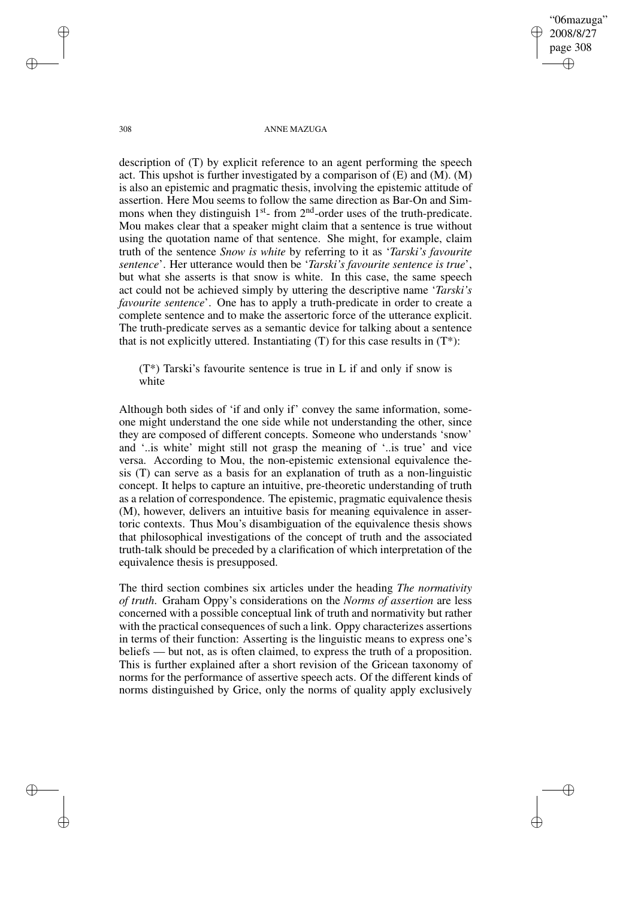"06mazuga" 2008/8/27 page 308 ✐ ✐

✐

✐

308 ANNE MAZUGA

description of (T) by explicit reference to an agent performing the speech act. This upshot is further investigated by a comparison of  $(E)$  and  $(M)$ .  $(M)$ is also an epistemic and pragmatic thesis, involving the epistemic attitude of assertion. Here Mou seems to follow the same direction as Bar-On and Simmons when they distinguish  $1<sup>st</sup>$ - from  $2<sup>nd</sup>$ -order uses of the truth-predicate. Mou makes clear that a speaker might claim that a sentence is true without using the quotation name of that sentence. She might, for example, claim truth of the sentence *Snow is white* by referring to it as '*Tarski's favourite sentence*'. Her utterance would then be '*Tarski's favourite sentence is true*', but what she asserts is that snow is white. In this case, the same speech act could not be achieved simply by uttering the descriptive name '*Tarski's favourite sentence*'. One has to apply a truth-predicate in order to create a complete sentence and to make the assertoric force of the utterance explicit. The truth-predicate serves as a semantic device for talking about a sentence that is not explicitly uttered. Instantiating  $(T)$  for this case results in  $(T^*)$ :

(T\*) Tarski's favourite sentence is true in L if and only if snow is white

Although both sides of 'if and only if' convey the same information, someone might understand the one side while not understanding the other, since they are composed of different concepts. Someone who understands 'snow' and '..is white' might still not grasp the meaning of '..is true' and vice versa. According to Mou, the non-epistemic extensional equivalence thesis (T) can serve as a basis for an explanation of truth as a non-linguistic concept. It helps to capture an intuitive, pre-theoretic understanding of truth as a relation of correspondence. The epistemic, pragmatic equivalence thesis (M), however, delivers an intuitive basis for meaning equivalence in assertoric contexts. Thus Mou's disambiguation of the equivalence thesis shows that philosophical investigations of the concept of truth and the associated truth-talk should be preceded by a clarification of which interpretation of the equivalence thesis is presupposed.

The third section combines six articles under the heading *The normativity of truth*. Graham Oppy's considerations on the *Norms of assertion* are less concerned with a possible conceptual link of truth and normativity but rather with the practical consequences of such a link. Oppy characterizes assertions in terms of their function: Asserting is the linguistic means to express one's beliefs — but not, as is often claimed, to express the truth of a proposition. This is further explained after a short revision of the Gricean taxonomy of norms for the performance of assertive speech acts. Of the different kinds of norms distinguished by Grice, only the norms of quality apply exclusively

✐

✐

✐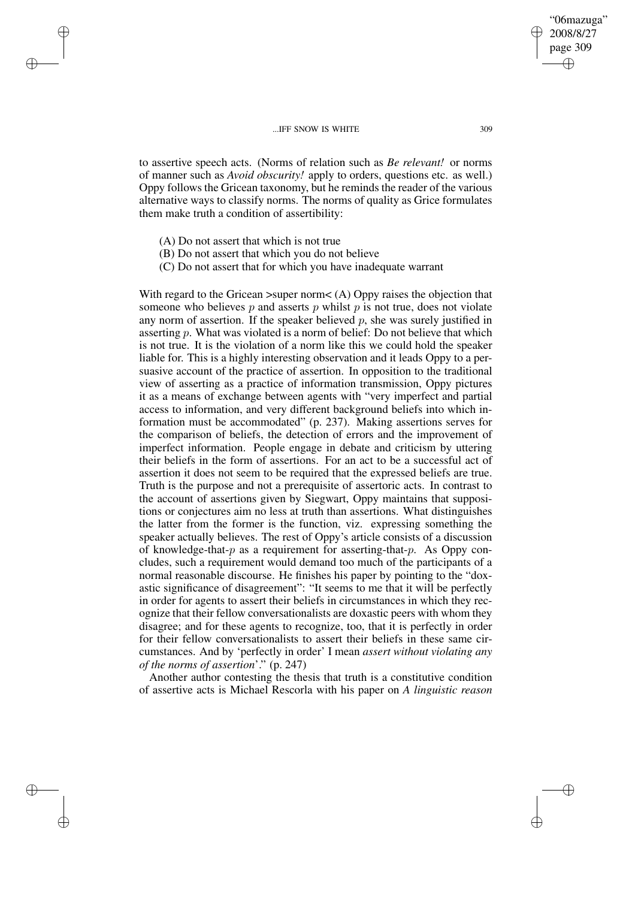to assertive speech acts. (Norms of relation such as *Be relevant!* or norms of manner such as *Avoid obscurity!* apply to orders, questions etc. as well.) Oppy follows the Gricean taxonomy, but he reminds the reader of the various alternative ways to classify norms. The norms of quality as Grice formulates them make truth a condition of assertibility:

(A) Do not assert that which is not true

✐

✐

✐

✐

- (B) Do not assert that which you do not believe
- (C) Do not assert that for which you have inadequate warrant

With regard to the Gricean >super norm< (A) Oppy raises the objection that someone who believes  $p$  and asserts  $p$  whilst  $p$  is not true, does not violate any norm of assertion. If the speaker believed  $p$ , she was surely justified in asserting p. What was violated is a norm of belief: Do not believe that which is not true. It is the violation of a norm like this we could hold the speaker liable for. This is a highly interesting observation and it leads Oppy to a persuasive account of the practice of assertion. In opposition to the traditional view of asserting as a practice of information transmission, Oppy pictures it as a means of exchange between agents with "very imperfect and partial access to information, and very different background beliefs into which information must be accommodated" (p. 237). Making assertions serves for the comparison of beliefs, the detection of errors and the improvement of imperfect information. People engage in debate and criticism by uttering their beliefs in the form of assertions. For an act to be a successful act of assertion it does not seem to be required that the expressed beliefs are true. Truth is the purpose and not a prerequisite of assertoric acts. In contrast to the account of assertions given by Siegwart, Oppy maintains that suppositions or conjectures aim no less at truth than assertions. What distinguishes the latter from the former is the function, viz. expressing something the speaker actually believes. The rest of Oppy's article consists of a discussion of knowledge-that- $p$  as a requirement for asserting-that- $p$ . As Oppy concludes, such a requirement would demand too much of the participants of a normal reasonable discourse. He finishes his paper by pointing to the "doxastic significance of disagreement": "It seems to me that it will be perfectly in order for agents to assert their beliefs in circumstances in which they recognize that their fellow conversationalists are doxastic peers with whom they disagree; and for these agents to recognize, too, that it is perfectly in order for their fellow conversationalists to assert their beliefs in these same circumstances. And by 'perfectly in order' I mean *assert without violating any of the norms of assertion*'." (p. 247)

Another author contesting the thesis that truth is a constitutive condition of assertive acts is Michael Rescorla with his paper on *A linguistic reason*

"06mazuga" 2008/8/27 page 309

✐

✐

✐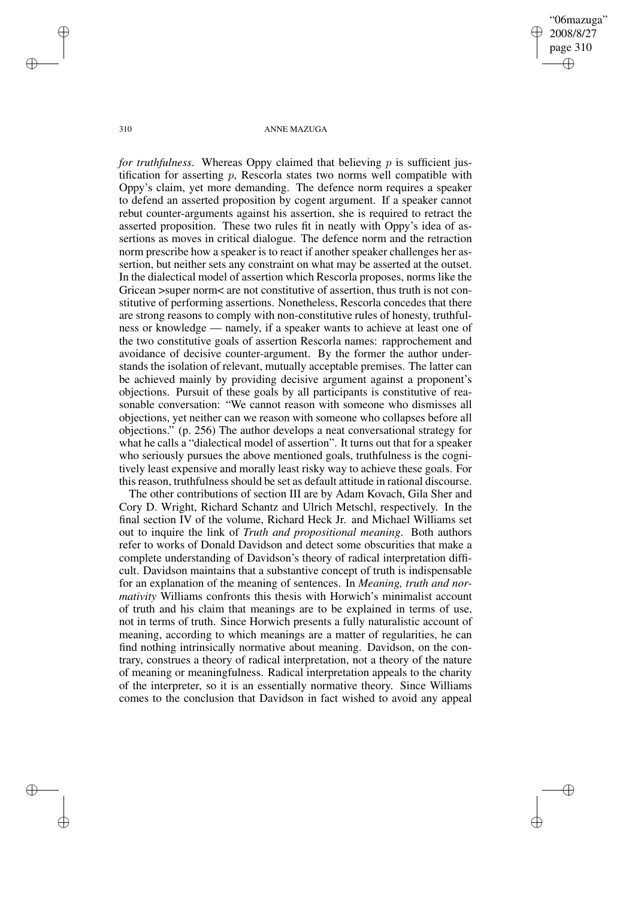"06mazuga" 2008/8/27 page 310 ✐ ✐

✐

✐

#### 310 ANNE MAZUGA

*for truthfulness.* Whereas Oppy claimed that believing p is sufficient justification for asserting  $p$ , Rescorla states two norms well compatible with Oppy's claim, yet more demanding. The defence norm requires a speaker to defend an asserted proposition by cogent argument. If a speaker cannot rebut counter-arguments against his assertion, she is required to retract the asserted proposition. These two rules fit in neatly with Oppy's idea of assertions as moves in critical dialogue. The defence norm and the retraction norm prescribe how a speaker is to react if another speaker challenges her assertion, but neither sets any constraint on what may be asserted at the outset. In the dialectical model of assertion which Rescorla proposes, norms like the Gricean >super norm< are not constitutive of assertion, thus truth is not constitutive of performing assertions. Nonetheless, Rescorla concedes that there are strong reasons to comply with non-constitutive rules of honesty, truthfulness or knowledge — namely, if a speaker wants to achieve at least one of the two constitutive goals of assertion Rescorla names: rapprochement and avoidance of decisive counter-argument. By the former the author understands the isolation of relevant, mutually acceptable premises. The latter can be achieved mainly by providing decisive argument against a proponent's objections. Pursuit of these goals by all participants is constitutive of reasonable conversation: "We cannot reason with someone who dismisses all objections, yet neither can we reason with someone who collapses before all objections." (p. 256) The author develops a neat conversational strategy for what he calls a "dialectical model of assertion". It turns out that for a speaker who seriously pursues the above mentioned goals, truthfulness is the cognitively least expensive and morally least risky way to achieve these goals. For this reason, truthfulness should be set as default attitude in rational discourse.

The other contributions of section III are by Adam Kovach, Gila Sher and Cory D. Wright, Richard Schantz and Ulrich Metschl, respectively. In the final section IV of the volume, Richard Heck Jr. and Michael Williams set out to inquire the link of *Truth and propositional meaning*. Both authors refer to works of Donald Davidson and detect some obscurities that make a complete understanding of Davidson's theory of radical interpretation difficult. Davidson maintains that a substantive concept of truth is indispensable for an explanation of the meaning of sentences. In *Meaning, truth and normativity* Williams confronts this thesis with Horwich's minimalist account of truth and his claim that meanings are to be explained in terms of use, not in terms of truth. Since Horwich presents a fully naturalistic account of meaning, according to which meanings are a matter of regularities, he can find nothing intrinsically normative about meaning. Davidson, on the contrary, construes a theory of radical interpretation, not a theory of the nature of meaning or meaningfulness. Radical interpretation appeals to the charity of the interpreter, so it is an essentially normative theory. Since Williams comes to the conclusion that Davidson in fact wished to avoid any appeal

✐

✐

✐